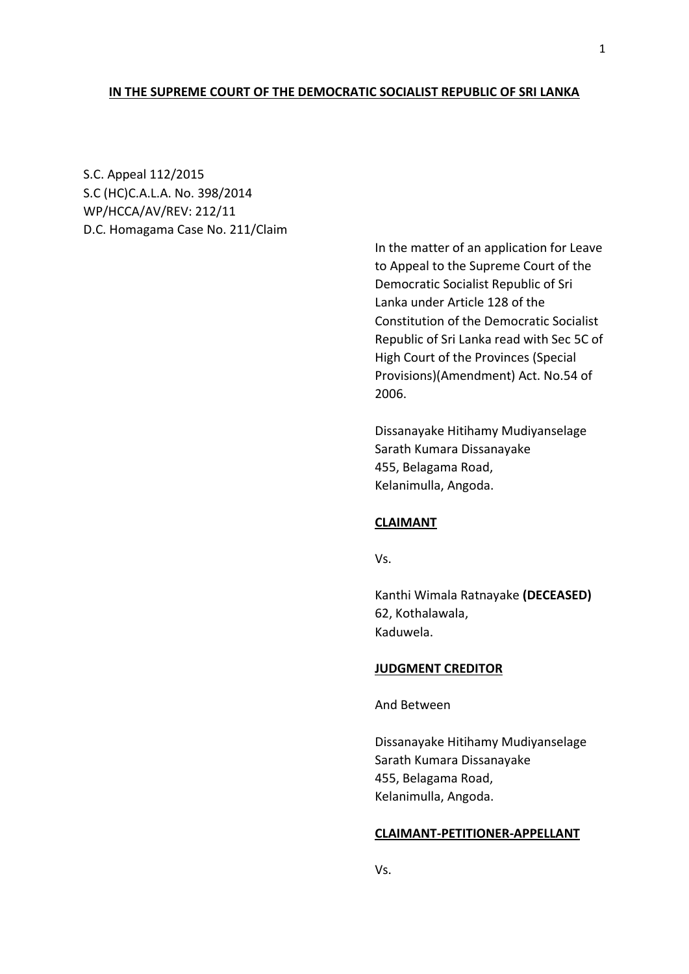## **IN THE SUPREME COURT OF THE DEMOCRATIC SOCIALIST REPUBLIC OF SRI LANKA**

S.C. Appeal 112/2015 S.C (HC)C.A.L.A. No. 398/2014 WP/HCCA/AV/REV: 212/11 D.C. Homagama Case No. 211/Claim

> In the matter of an application for Leave to Appeal to the Supreme Court of the Democratic Socialist Republic of Sri Lanka under Article 128 of the Constitution of the Democratic Socialist Republic of Sri Lanka read with Sec 5C of High Court of the Provinces (Special Provisions)(Amendment) Act. No.54 of 2006.

Dissanayake Hitihamy Mudiyanselage Sarath Kumara Dissanayake 455, Belagama Road, Kelanimulla, Angoda.

## **CLAIMANT**

Vs.

Kanthi Wimala Ratnayake **(DECEASED)** 62, Kothalawala, Kaduwela.

#### **JUDGMENT CREDITOR**

And Between

Dissanayake Hitihamy Mudiyanselage Sarath Kumara Dissanayake 455, Belagama Road, Kelanimulla, Angoda.

## **CLAIMANT-PETITIONER-APPELLANT**

Vs.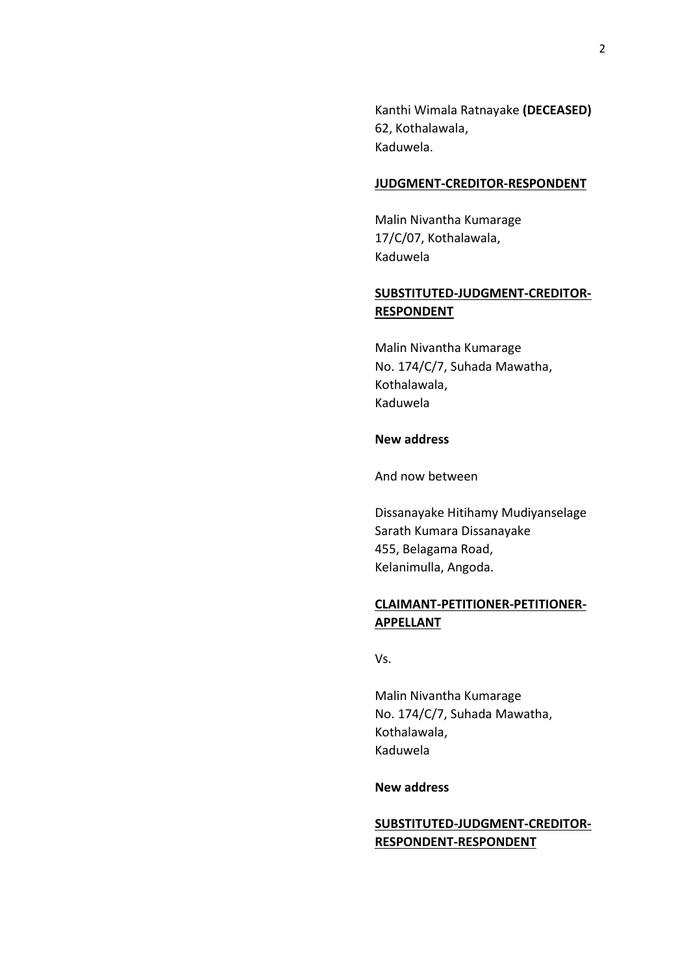Kanthi Wimala Ratnayake **(DECEASED)** 62, Kothalawala, Kaduwela.

## **JUDGMENT-CREDITOR-RESPONDENT**

Malin Nivantha Kumarage 17/C/07, Kothalawala, Kaduwela

# **SUBSTITUTED-JUDGMENT-CREDITOR-RESPONDENT**

Malin Nivantha Kumarage No. 174/C/7, Suhada Mawatha, Kothalawala, Kaduwela

# **New address**

And now between

Dissanayake Hitihamy Mudiyanselage Sarath Kumara Dissanayake 455, Belagama Road, Kelanimulla, Angoda.

# **CLAIMANT-PETITIONER-PETITIONER-APPELLANT**

Vs.

Malin Nivantha Kumarage No. 174/C/7, Suhada Mawatha, Kothalawala, Kaduwela

# **New address**

# **SUBSTITUTED-JUDGMENT-CREDITOR-RESPONDENT-RESPONDENT**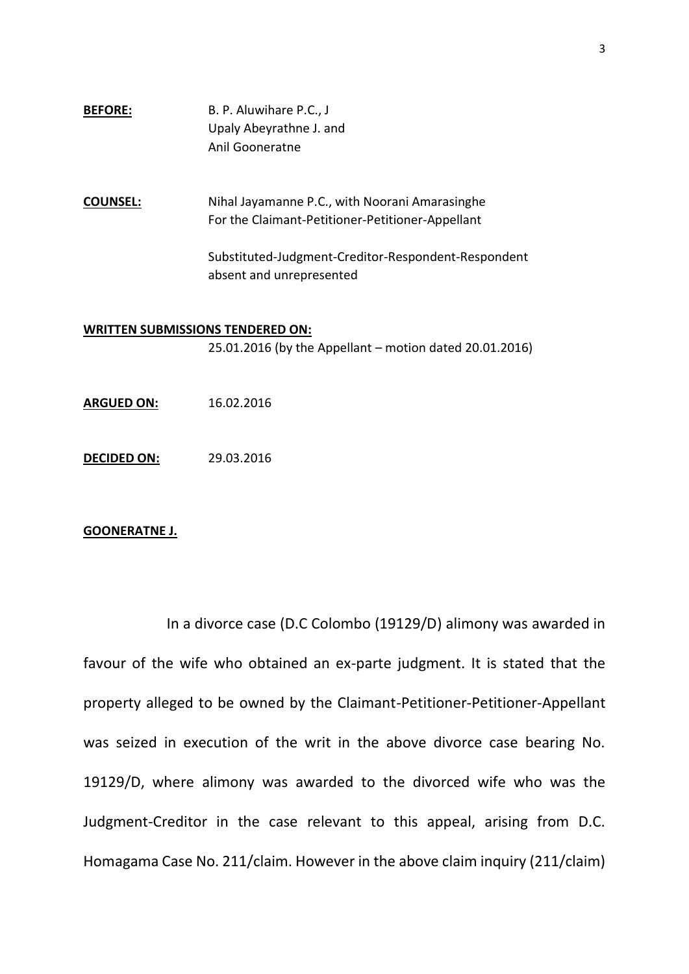# **BEFORE:** B. P. Aluwihare P.C., J Upaly Abeyrathne J. and Anil Gooneratne

**COUNSEL:** Nihal Jayamanne P.C., with Noorani Amarasinghe For the Claimant-Petitioner-Petitioner-Appellant

> Substituted-Judgment-Creditor-Respondent-Respondent absent and unrepresented

#### **WRITTEN SUBMISSIONS TENDERED ON:**

25.01.2016 (by the Appellant – motion dated 20.01.2016)

- **ARGUED ON:** 16.02.2016
- **DECIDED ON:** 29.03.2016

## **GOONERATNE J.**

In a divorce case (D.C Colombo (19129/D) alimony was awarded in favour of the wife who obtained an ex-parte judgment. It is stated that the property alleged to be owned by the Claimant-Petitioner-Petitioner-Appellant was seized in execution of the writ in the above divorce case bearing No. 19129/D, where alimony was awarded to the divorced wife who was the Judgment-Creditor in the case relevant to this appeal, arising from D.C. Homagama Case No. 211/claim. However in the above claim inquiry (211/claim)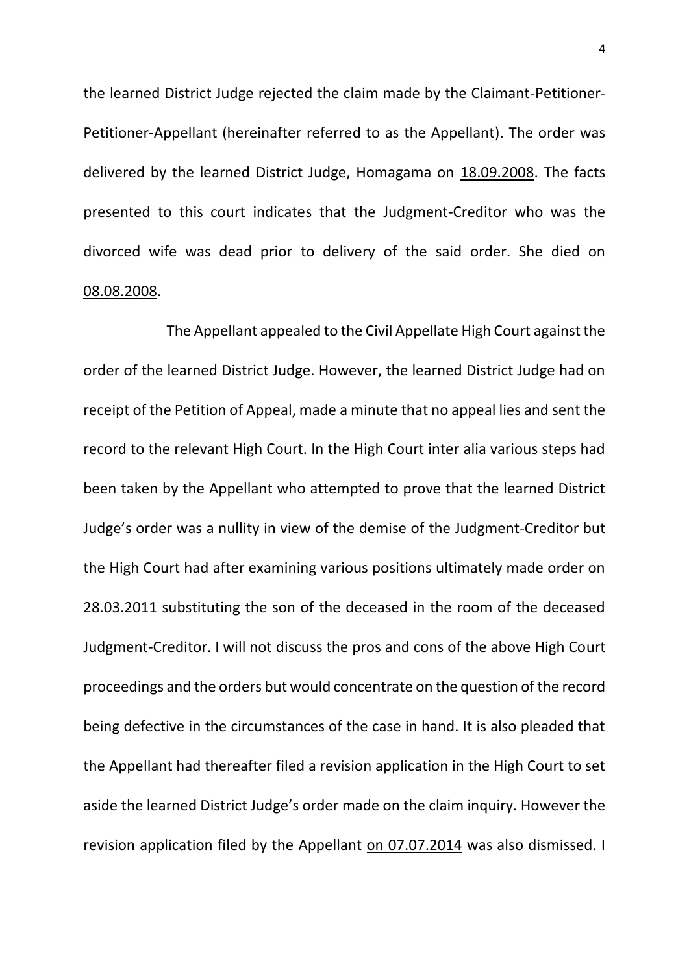the learned District Judge rejected the claim made by the Claimant-Petitioner-Petitioner-Appellant (hereinafter referred to as the Appellant). The order was delivered by the learned District Judge, Homagama on 18.09.2008. The facts presented to this court indicates that the Judgment-Creditor who was the divorced wife was dead prior to delivery of the said order. She died on 08.08.2008.

The Appellant appealed to the Civil Appellate High Court against the order of the learned District Judge. However, the learned District Judge had on receipt of the Petition of Appeal, made a minute that no appeal lies and sent the record to the relevant High Court. In the High Court inter alia various steps had been taken by the Appellant who attempted to prove that the learned District Judge's order was a nullity in view of the demise of the Judgment-Creditor but the High Court had after examining various positions ultimately made order on 28.03.2011 substituting the son of the deceased in the room of the deceased Judgment-Creditor. I will not discuss the pros and cons of the above High Court proceedings and the orders but would concentrate on the question of the record being defective in the circumstances of the case in hand. It is also pleaded that the Appellant had thereafter filed a revision application in the High Court to set aside the learned District Judge's order made on the claim inquiry. However the revision application filed by the Appellant on 07.07.2014 was also dismissed. I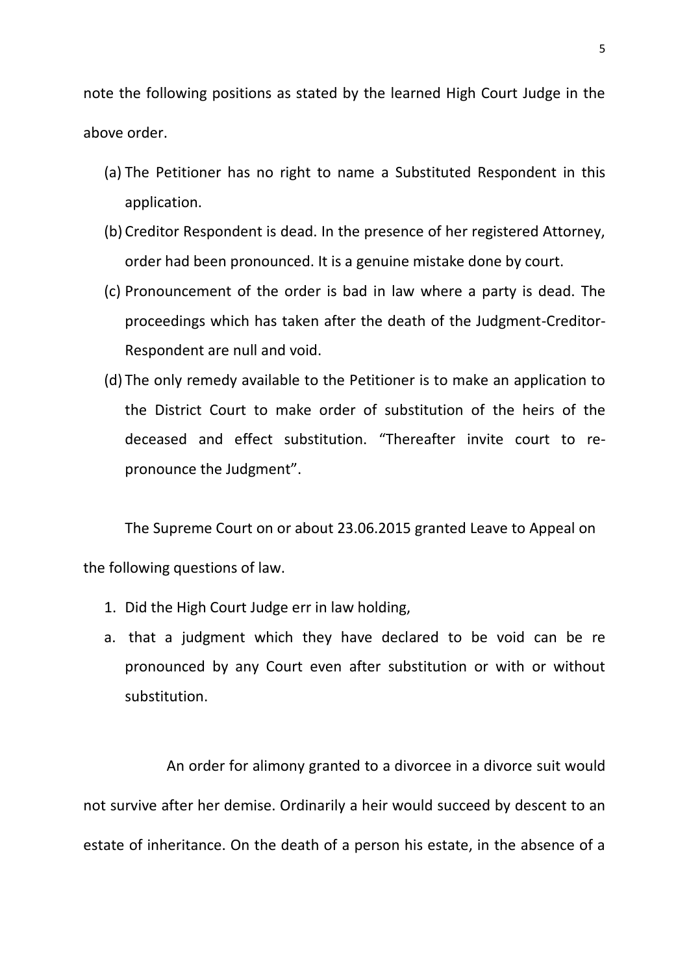note the following positions as stated by the learned High Court Judge in the above order.

- (a) The Petitioner has no right to name a Substituted Respondent in this application.
- (b) Creditor Respondent is dead. In the presence of her registered Attorney, order had been pronounced. It is a genuine mistake done by court.
- (c) Pronouncement of the order is bad in law where a party is dead. The proceedings which has taken after the death of the Judgment-Creditor-Respondent are null and void.
- (d) The only remedy available to the Petitioner is to make an application to the District Court to make order of substitution of the heirs of the deceased and effect substitution. "Thereafter invite court to repronounce the Judgment".

The Supreme Court on or about 23.06.2015 granted Leave to Appeal on the following questions of law.

- 1. Did the High Court Judge err in law holding,
- a. that a judgment which they have declared to be void can be re pronounced by any Court even after substitution or with or without substitution.

An order for alimony granted to a divorcee in a divorce suit would not survive after her demise. Ordinarily a heir would succeed by descent to an estate of inheritance. On the death of a person his estate, in the absence of a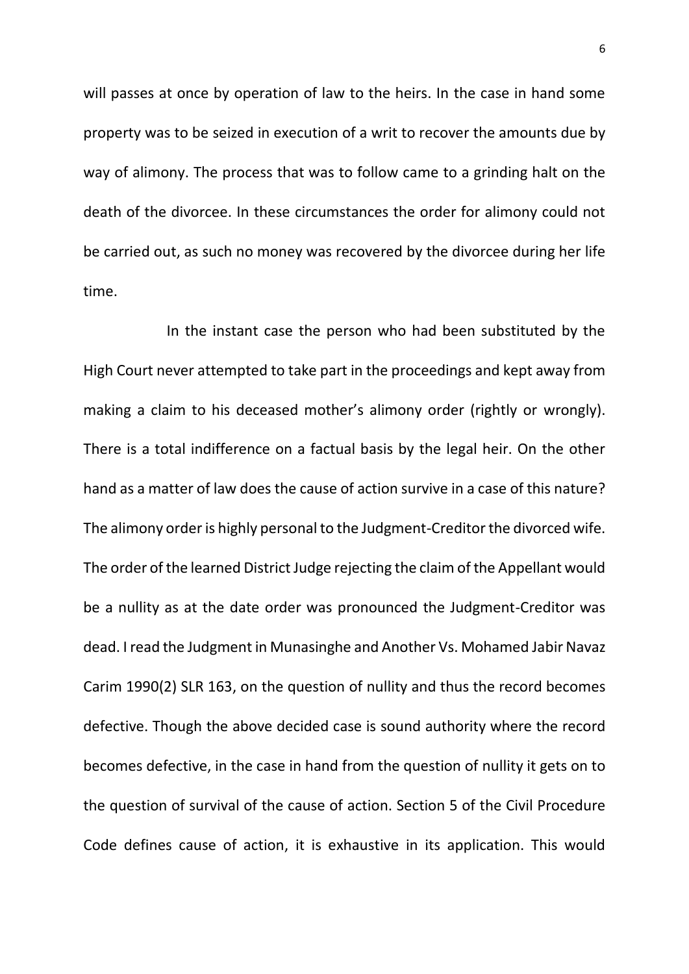will passes at once by operation of law to the heirs. In the case in hand some property was to be seized in execution of a writ to recover the amounts due by way of alimony. The process that was to follow came to a grinding halt on the death of the divorcee. In these circumstances the order for alimony could not be carried out, as such no money was recovered by the divorcee during her life time.

In the instant case the person who had been substituted by the High Court never attempted to take part in the proceedings and kept away from making a claim to his deceased mother's alimony order (rightly or wrongly). There is a total indifference on a factual basis by the legal heir. On the other hand as a matter of law does the cause of action survive in a case of this nature? The alimony order is highly personal to the Judgment-Creditor the divorced wife. The order of the learned District Judge rejecting the claim of the Appellant would be a nullity as at the date order was pronounced the Judgment-Creditor was dead. I read the Judgment in Munasinghe and Another Vs. Mohamed Jabir Navaz Carim 1990(2) SLR 163, on the question of nullity and thus the record becomes defective. Though the above decided case is sound authority where the record becomes defective, in the case in hand from the question of nullity it gets on to the question of survival of the cause of action. Section 5 of the Civil Procedure Code defines cause of action, it is exhaustive in its application. This would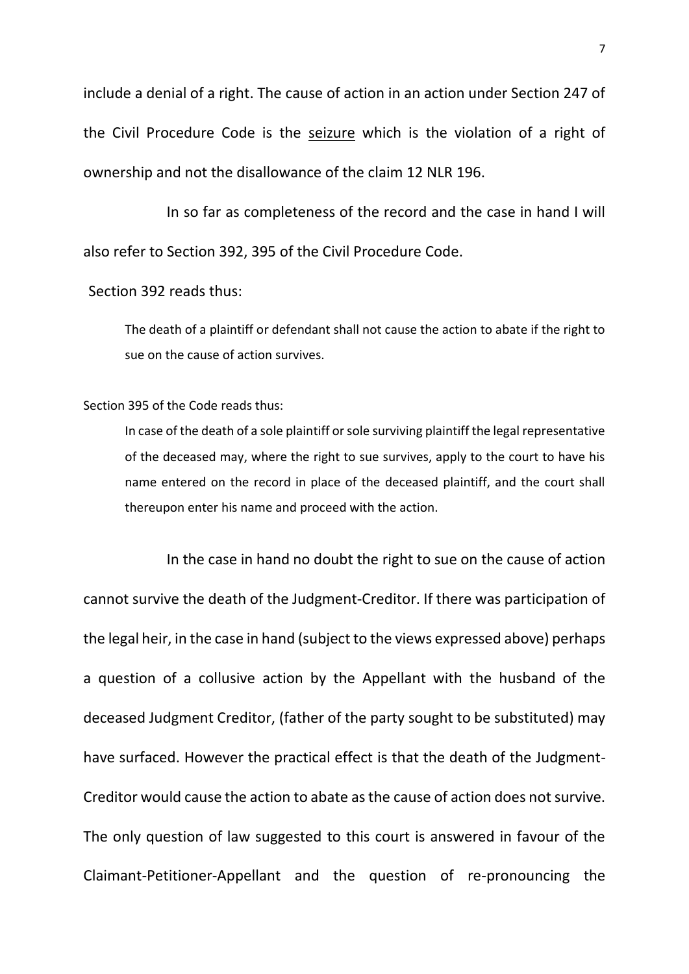include a denial of a right. The cause of action in an action under Section 247 of the Civil Procedure Code is the seizure which is the violation of a right of ownership and not the disallowance of the claim 12 NLR 196.

In so far as completeness of the record and the case in hand I will also refer to Section 392, 395 of the Civil Procedure Code.

# Section 392 reads thus:

The death of a plaintiff or defendant shall not cause the action to abate if the right to sue on the cause of action survives.

## Section 395 of the Code reads thus:

In case of the death of a sole plaintiff or sole surviving plaintiff the legal representative of the deceased may, where the right to sue survives, apply to the court to have his name entered on the record in place of the deceased plaintiff, and the court shall thereupon enter his name and proceed with the action.

In the case in hand no doubt the right to sue on the cause of action cannot survive the death of the Judgment-Creditor. If there was participation of the legal heir, in the case in hand (subject to the views expressed above) perhaps a question of a collusive action by the Appellant with the husband of the deceased Judgment Creditor, (father of the party sought to be substituted) may have surfaced. However the practical effect is that the death of the Judgment-Creditor would cause the action to abate as the cause of action does not survive. The only question of law suggested to this court is answered in favour of the Claimant-Petitioner-Appellant and the question of re-pronouncing the